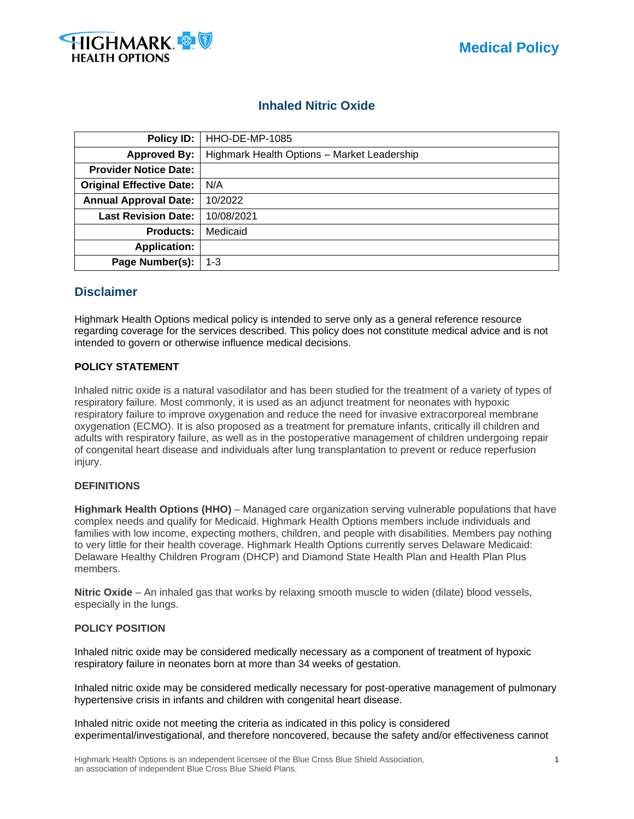

# **Inhaled Nitric Oxide**

| Policy ID:                      | HHO-DE-MP-1085                              |  |  |
|---------------------------------|---------------------------------------------|--|--|
| <b>Approved By:</b>             | Highmark Health Options - Market Leadership |  |  |
| <b>Provider Notice Date:</b>    |                                             |  |  |
| <b>Original Effective Date:</b> | N/A                                         |  |  |
| <b>Annual Approval Date:</b>    | 10/2022                                     |  |  |
| <b>Last Revision Date:</b>      | 10/08/2021                                  |  |  |
| <b>Products:</b>                | Medicaid                                    |  |  |
| <b>Application:</b>             |                                             |  |  |
| Page Number(s):                 | $1 - 3$                                     |  |  |

## **Disclaimer**

Highmark Health Options medical policy is intended to serve only as a general reference resource regarding coverage for the services described. This policy does not constitute medical advice and is not intended to govern or otherwise influence medical decisions.

### **POLICY STATEMENT**

Inhaled nitric oxide is a natural vasodilator and has been studied for the treatment of a variety of types of respiratory failure. Most commonly, it is used as an adjunct treatment for neonates with hypoxic respiratory failure to improve oxygenation and reduce the need for invasive extracorporeal membrane oxygenation (ECMO). It is also proposed as a treatment for premature infants, critically ill children and adults with respiratory failure, as well as in the postoperative management of children undergoing repair of congenital heart disease and individuals after lung transplantation to prevent or reduce reperfusion injury.

### **DEFINITIONS**

**Highmark Health Options (HHO)** – Managed care organization serving vulnerable populations that have complex needs and qualify for Medicaid. Highmark Health Options members include individuals and families with low income, expecting mothers, children, and people with disabilities. Members pay nothing to very little for their health coverage. Highmark Health Options currently serves Delaware Medicaid: Delaware Healthy Children Program (DHCP) and Diamond State Health Plan and Health Plan Plus members.

**Nitric Oxide** – An inhaled gas that works by relaxing smooth muscle to widen (dilate) blood vessels, especially in the lungs.

#### **POLICY POSITION**

Inhaled nitric oxide may be considered medically necessary as a component of treatment of hypoxic respiratory failure in neonates born at more than 34 weeks of gestation.

Inhaled nitric oxide may be considered medically necessary for post-operative management of pulmonary hypertensive crisis in infants and children with congenital heart disease.

Inhaled nitric oxide not meeting the criteria as indicated in this policy is considered experimental/investigational, and therefore noncovered, because the safety and/or effectiveness cannot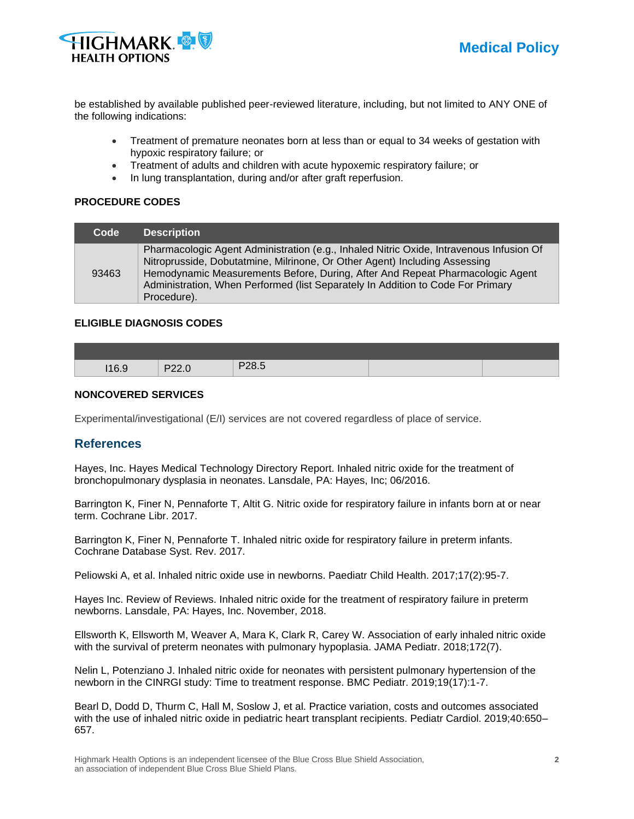

be established by available published peer-reviewed literature, including, but not limited to ANY ONE of the following indications:

- Treatment of premature neonates born at less than or equal to 34 weeks of gestation with hypoxic respiratory failure; or
- Treatment of adults and children with acute hypoxemic respiratory failure; or
- In lung transplantation, during and/or after graft reperfusion.

#### **PROCEDURE CODES**

| Code  |
|-------|
| 93463 |

#### **ELIGIBLE DIAGNOSIS CODES**

| 1160 | $\mathbf{D}$<br>$- - -$ | コクヌ ら<br>. .<br>ں.∪∠ |  |
|------|-------------------------|----------------------|--|

#### **NONCOVERED SERVICES**

Experimental/investigational (E/I) services are not covered regardless of place of service.

## **References**

Hayes, Inc. Hayes Medical Technology Directory Report. Inhaled nitric oxide for the treatment of bronchopulmonary dysplasia in neonates. Lansdale, PA: Hayes, Inc; 06/2016.

Barrington K, Finer N, Pennaforte T, Altit G. Nitric oxide for respiratory failure in infants born at or near term. Cochrane Libr. 2017.

Barrington K, Finer N, Pennaforte T. Inhaled nitric oxide for respiratory failure in preterm infants. Cochrane Database Syst. Rev. 2017.

Peliowski A, et al. Inhaled nitric oxide use in newborns. Paediatr Child Health. 2017;17(2):95-7.

Hayes Inc. Review of Reviews. Inhaled nitric oxide for the treatment of respiratory failure in preterm newborns. Lansdale, PA: Hayes, Inc. November, 2018.

Ellsworth K, Ellsworth M, Weaver A, Mara K, Clark R, Carey W. Association of early inhaled nitric oxide with the survival of preterm neonates with pulmonary hypoplasia. JAMA Pediatr. 2018;172(7).

Nelin L, Potenziano J. Inhaled nitric oxide for neonates with persistent pulmonary hypertension of the newborn in the CINRGI study: Time to treatment response. BMC Pediatr. 2019;19(17):1-7.

Bearl D, Dodd D, Thurm C, Hall M, Soslow J, et al. Practice variation, costs and outcomes associated with the use of inhaled nitric oxide in pediatric heart transplant recipients. Pediatr Cardiol. 2019;40:650– 657.